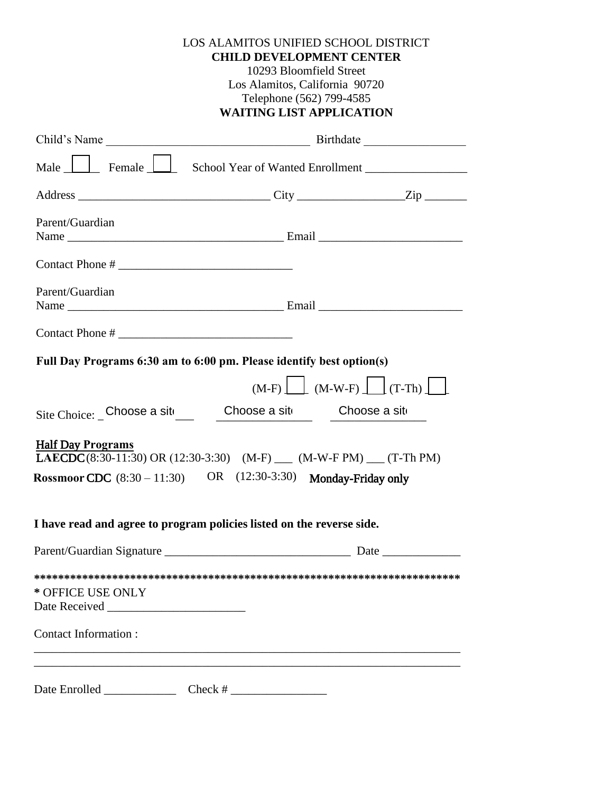| LOS ALAMITOS UNIFIED SCHOOL DISTRICT |
|--------------------------------------|
| <b>CHILD DEVELOPMENT CENTER</b>      |
| 10293 Bloomfield Street              |
| Los Alamitos, California 90720       |
| Telephone (562) 799-4585             |
| THUNG TION I DDI TO LIVOUT           |

# **WAITING LIST APPLICATION**

| Male <u>Julee Female Julee School Year of Wanted Enrollment</u>                                                                                                                |              |                                    |  |
|--------------------------------------------------------------------------------------------------------------------------------------------------------------------------------|--------------|------------------------------------|--|
|                                                                                                                                                                                |              |                                    |  |
| Parent/Guardian                                                                                                                                                                |              |                                    |  |
|                                                                                                                                                                                |              |                                    |  |
| Parent/Guardian                                                                                                                                                                |              |                                    |  |
|                                                                                                                                                                                |              |                                    |  |
| Full Day Programs 6:30 am to 6:00 pm. Please identify best option(s)                                                                                                           |              |                                    |  |
|                                                                                                                                                                                |              | $(M-F)$ $(M-W-F)$ $(T-Th)$ $\perp$ |  |
| Site Choice: Choose a sit Choose a sit Choose a sit                                                                                                                            |              |                                    |  |
| <b>Half Day Programs</b><br><b>LAECDC</b> (8:30-11:30) OR (12:30-3:30) (M-F) ___ (M-W-F PM) __ (T-Th PM)<br>Rossmoor CDC $(8:30 - 11:30)$ OR $(12:30-3:30)$ Monday-Friday only |              |                                    |  |
| I have read and agree to program policies listed on the reverse side.                                                                                                          |              |                                    |  |
|                                                                                                                                                                                |              |                                    |  |
| * OFFICE USE ONLY                                                                                                                                                              |              |                                    |  |
| Contact Information:                                                                                                                                                           |              |                                    |  |
|                                                                                                                                                                                |              |                                    |  |
| Date Enrolled _______________                                                                                                                                                  | $Check # \_$ |                                    |  |